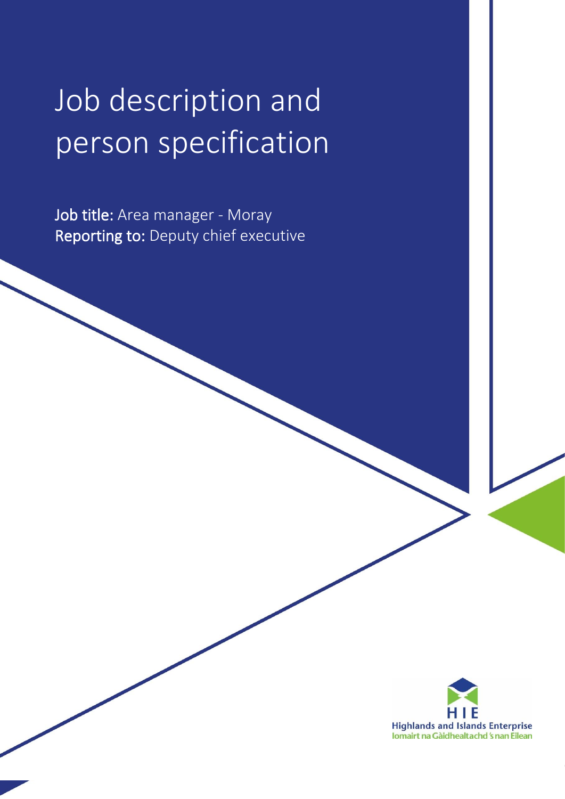# Job description and person specification

Job title: Area manager - Moray Reporting to: Deputy chief executive

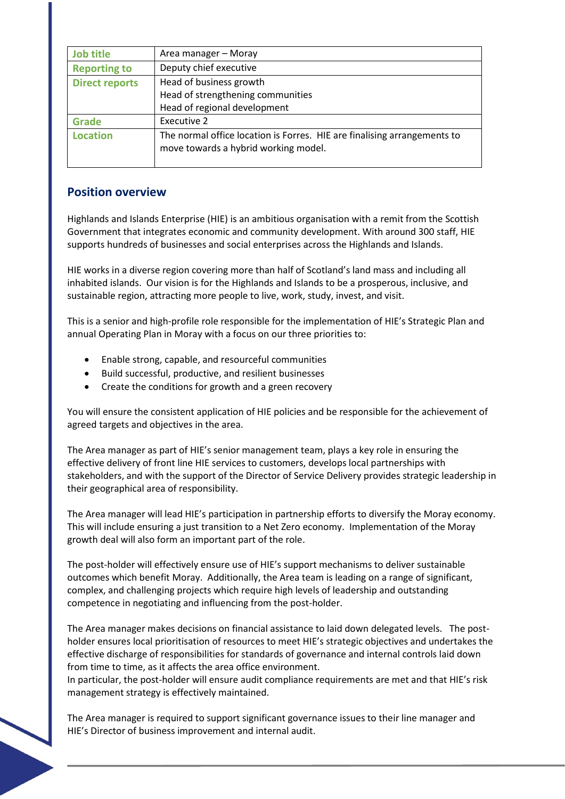| <b>Job title</b>      | Area manager - Moray                                                                                             |  |
|-----------------------|------------------------------------------------------------------------------------------------------------------|--|
| <b>Reporting to</b>   | Deputy chief executive                                                                                           |  |
| <b>Direct reports</b> | Head of business growth                                                                                          |  |
|                       | Head of strengthening communities                                                                                |  |
|                       | Head of regional development                                                                                     |  |
| <b>Grade</b>          | Executive 2                                                                                                      |  |
| <b>Location</b>       | The normal office location is Forres. HIE are finalising arrangements to<br>move towards a hybrid working model. |  |

### **Position overview**

Highlands and Islands Enterprise (HIE) is an ambitious organisation with a remit from the Scottish Government that integrates economic and community development. With around 300 staff, HIE supports hundreds of businesses and social enterprises across the Highlands and Islands.

HIE works in a diverse region covering more than half of Scotland's land mass and including all inhabited islands. Our vision is for the Highlands and Islands to be a prosperous, inclusive, and sustainable region, attracting more people to live, work, study, invest, and visit.

This is a senior and high-profile role responsible for the implementation of HIE's Strategic Plan and annual Operating Plan in Moray with a focus on our three priorities to:

- Enable strong, capable, and resourceful communities
- Build successful, productive, and resilient businesses
- Create the conditions for growth and a green recovery

You will ensure the consistent application of HIE policies and be responsible for the achievement of agreed targets and objectives in the area.

The Area manager as part of HIE's senior management team, plays a key role in ensuring the effective delivery of front line HIE services to customers, develops local partnerships with stakeholders, and with the support of the Director of Service Delivery provides strategic leadership in their geographical area of responsibility.

The Area manager will lead HIE's participation in partnership efforts to diversify the Moray economy. This will include ensuring a just transition to a Net Zero economy. Implementation of the Moray growth deal will also form an important part of the role.

The post-holder will effectively ensure use of HIE's support mechanisms to deliver sustainable outcomes which benefit Moray. Additionally, the Area team is leading on a range of significant, complex, and challenging projects which require high levels of leadership and outstanding competence in negotiating and influencing from the post-holder.

The Area manager makes decisions on financial assistance to laid down delegated levels. The postholder ensures local prioritisation of resources to meet HIE's strategic objectives and undertakes the effective discharge of responsibilities for standards of governance and internal controls laid down from time to time, as it affects the area office environment.

In particular, the post-holder will ensure audit compliance requirements are met and that HIE's risk management strategy is effectively maintained.

The Area manager is required to support significant governance issues to their line manager and HIE's Director of business improvement and internal audit.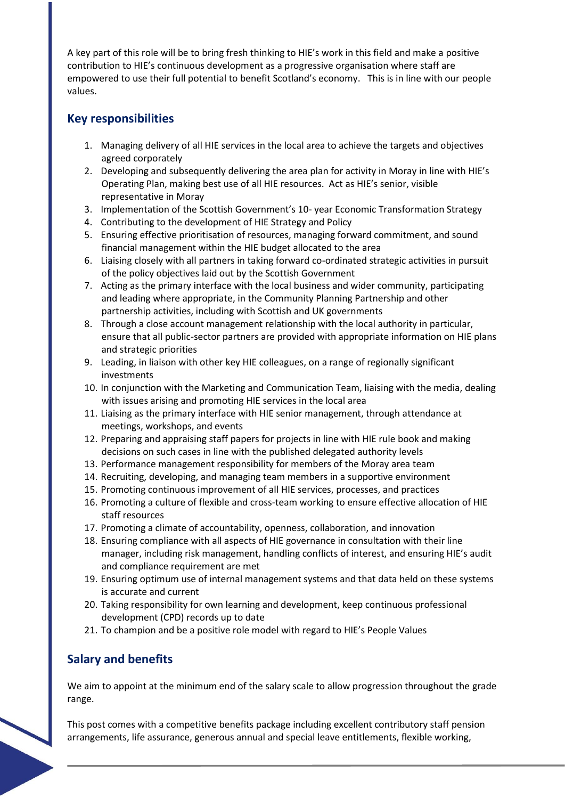A key part of this role will be to bring fresh thinking to HIE's work in this field and make a positive contribution to HIE's continuous development as a progressive organisation where staff are empowered to use their full potential to benefit Scotland's economy. This is in line with our people values.

## **Key responsibilities**

- 1. Managing delivery of all HIE services in the local area to achieve the targets and objectives agreed corporately
- 2. Developing and subsequently delivering the area plan for activity in Moray in line with HIE's Operating Plan, making best use of all HIE resources. Act as HIE's senior, visible representative in Moray
- 3. Implementation of the Scottish Government's 10- year Economic Transformation Strategy
- 4. Contributing to the development of HIE Strategy and Policy
- 5. Ensuring effective prioritisation of resources, managing forward commitment, and sound financial management within the HIE budget allocated to the area
- 6. Liaising closely with all partners in taking forward co-ordinated strategic activities in pursuit of the policy objectives laid out by the Scottish Government
- 7. Acting as the primary interface with the local business and wider community, participating and leading where appropriate, in the Community Planning Partnership and other partnership activities, including with Scottish and UK governments
- 8. Through a close account management relationship with the local authority in particular, ensure that all public-sector partners are provided with appropriate information on HIE plans and strategic priorities
- 9. Leading, in liaison with other key HIE colleagues, on a range of regionally significant investments
- 10. In conjunction with the Marketing and Communication Team, liaising with the media, dealing with issues arising and promoting HIE services in the local area
- 11. Liaising as the primary interface with HIE senior management, through attendance at meetings, workshops, and events
- 12. Preparing and appraising staff papers for projects in line with HIE rule book and making decisions on such cases in line with the published delegated authority levels
- 13. Performance management responsibility for members of the Moray area team
- 14. Recruiting, developing, and managing team members in a supportive environment
- 15. Promoting continuous improvement of all HIE services, processes, and practices
- 16. Promoting a culture of flexible and cross-team working to ensure effective allocation of HIE staff resources
- 17. Promoting a climate of accountability, openness, collaboration, and innovation
- 18. Ensuring compliance with all aspects of HIE governance in consultation with their line manager, including risk management, handling conflicts of interest, and ensuring HIE's audit and compliance requirement are met
- 19. Ensuring optimum use of internal management systems and that data held on these systems is accurate and current
- 20. Taking responsibility for own learning and development, keep continuous professional development (CPD) records up to date
- 21. To champion and be a positive role model with regard to HIE's People Values

# **Salary and benefits**

We aim to appoint at the minimum end of the salary scale to allow progression throughout the grade range.

This post comes with a competitive benefits package including excellent contributory staff pension arrangements, life assurance, generous annual and special leave entitlements, flexible working,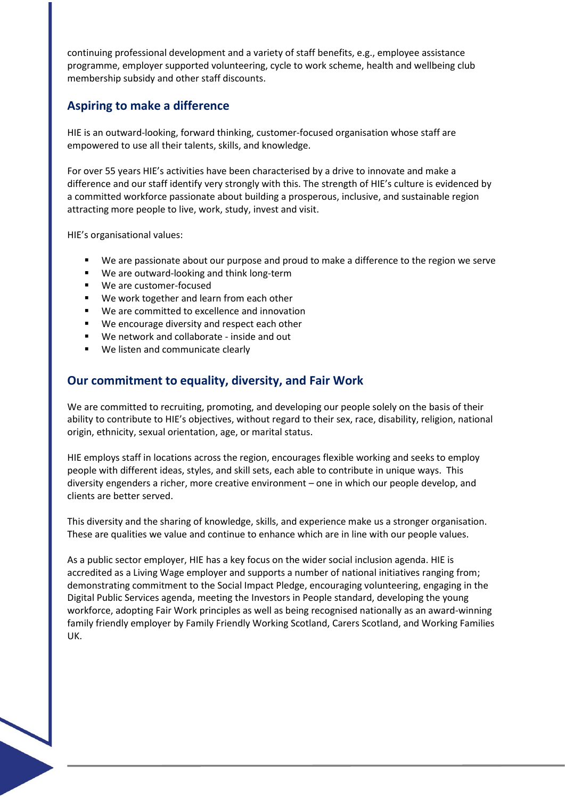continuing professional development and a variety of staff benefits, e.g., employee assistance programme, employer supported volunteering, cycle to work scheme, health and wellbeing club membership subsidy and other staff discounts.

## **Aspiring to make a difference**

HIE is an outward-looking, forward thinking, customer-focused organisation whose staff are empowered to use all their talents, skills, and knowledge.

For over 55 years HIE's activities have been characterised by a drive to innovate and make a difference and our staff identify very strongly with this. The strength of HIE's culture is evidenced by a committed workforce passionate about building a prosperous, inclusive, and sustainable region attracting more people to live, work, study, invest and visit.

HIE's organisational values:

- We are passionate about our purpose and proud to make a difference to the region we serve
- We are outward-looking and think long-term
- We are customer-focused
- We work together and learn from each other
- We are committed to excellence and innovation
- We encourage diversity and respect each other
- We network and collaborate inside and out
- We listen and communicate clearly

#### **Our commitment to equality, diversity, and Fair Work**

We are committed to recruiting, promoting, and developing our people solely on the basis of their ability to contribute to HIE's objectives, without regard to their sex, race, disability, religion, national origin, ethnicity, sexual orientation, age, or marital status.

HIE employs staff in locations across the region, encourages flexible working and seeks to employ people with different ideas, styles, and skill sets, each able to contribute in unique ways. This diversity engenders a richer, more creative environment – one in which our people develop, and clients are better served.

This diversity and the sharing of knowledge, skills, and experience make us a stronger organisation. These are qualities we value and continue to enhance which are in line with our people values.

As a public sector employer, HIE has a key focus on the wider social inclusion agenda. HIE is accredited as a Living Wage employer and supports a number of national initiatives ranging from; demonstrating commitment to the Social Impact Pledge, encouraging volunteering, engaging in the Digital Public Services agenda, meeting the Investors in People standard, developing the young workforce, adopting Fair Work principles as well as being recognised nationally as an award-winning family friendly employer by Family Friendly Working Scotland, Carers Scotland, and Working Families UK.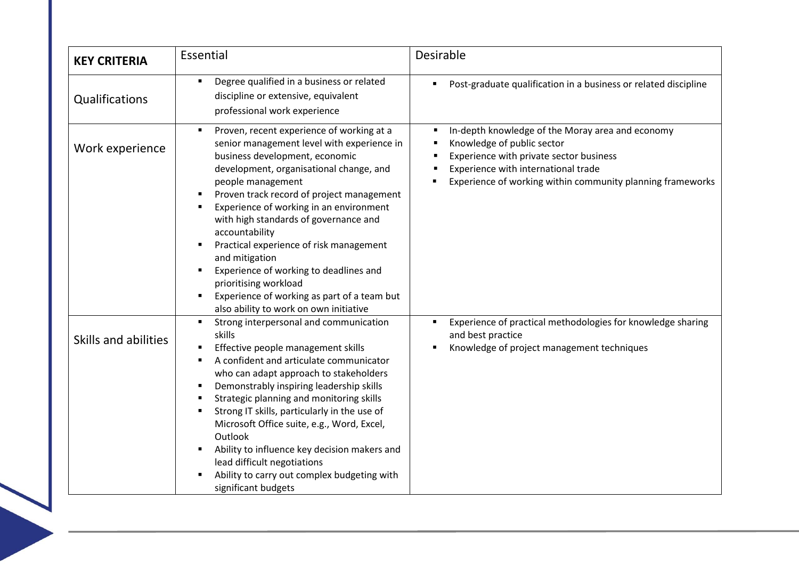| <b>KEY CRITERIA</b>  | Essential                                                                                                                                                                                                                                                                                                                                                                                                                                                                                                                                                                                                           | <b>Desirable</b>                                                                                                                                                                                                               |
|----------------------|---------------------------------------------------------------------------------------------------------------------------------------------------------------------------------------------------------------------------------------------------------------------------------------------------------------------------------------------------------------------------------------------------------------------------------------------------------------------------------------------------------------------------------------------------------------------------------------------------------------------|--------------------------------------------------------------------------------------------------------------------------------------------------------------------------------------------------------------------------------|
| Qualifications       | Degree qualified in a business or related<br>$\blacksquare$<br>discipline or extensive, equivalent<br>professional work experience                                                                                                                                                                                                                                                                                                                                                                                                                                                                                  | Post-graduate qualification in a business or related discipline                                                                                                                                                                |
| Work experience      | Proven, recent experience of working at a<br>$\blacksquare$<br>senior management level with experience in<br>business development, economic<br>development, organisational change, and<br>people management<br>Proven track record of project management<br>Experience of working in an environment<br>with high standards of governance and<br>accountability<br>Practical experience of risk management<br>٠<br>and mitigation<br>Experience of working to deadlines and<br>٠<br>prioritising workload<br>Experience of working as part of a team but<br>$\blacksquare$<br>also ability to work on own initiative | In-depth knowledge of the Moray area and economy<br>Knowledge of public sector<br>Experience with private sector business<br>Experience with international trade<br>Experience of working within community planning frameworks |
| Skills and abilities | Strong interpersonal and communication<br>$\blacksquare$<br>skills<br>Effective people management skills<br>A confident and articulate communicator<br>$\blacksquare$<br>who can adapt approach to stakeholders<br>Demonstrably inspiring leadership skills<br>٠<br>Strategic planning and monitoring skills<br>п<br>Strong IT skills, particularly in the use of<br>$\blacksquare$<br>Microsoft Office suite, e.g., Word, Excel,<br>Outlook<br>Ability to influence key decision makers and<br>lead difficult negotiations<br>Ability to carry out complex budgeting with<br>significant budgets                   | Experience of practical methodologies for knowledge sharing<br>and best practice<br>Knowledge of project management techniques                                                                                                 |